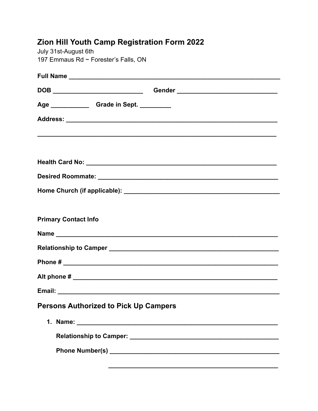| <b>Zion Hill Youth Camp Registration Form 2022</b> |  |
|----------------------------------------------------|--|
| July 31st-August 6th                               |  |
| 197 Emmaus Rd $\sim$ Forester's Falls, ON          |  |

| Age _________________Grade in Sept. ___________ |
|-------------------------------------------------|
|                                                 |
|                                                 |
|                                                 |
|                                                 |
|                                                 |
|                                                 |
|                                                 |
| <b>Primary Contact Info</b>                     |
|                                                 |
|                                                 |
|                                                 |
|                                                 |
|                                                 |
| <b>Persons Authorized to Pick Up Campers</b>    |
|                                                 |
|                                                 |
|                                                 |
|                                                 |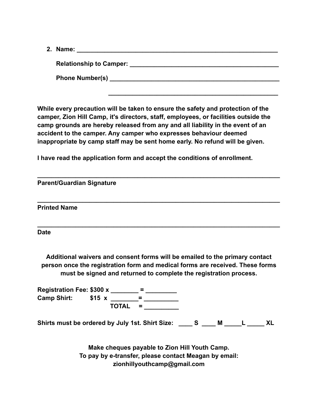**2. Name: \_\_\_\_\_\_\_\_\_\_\_\_\_\_\_\_\_\_\_\_\_\_\_\_\_\_\_\_\_\_\_\_\_\_\_\_\_\_\_\_\_\_\_\_\_\_\_\_\_\_\_\_\_\_\_\_\_\_**

**Relationship to Camper: Example 10** and **Relationship to Camper: Example 20** and **Relationship** to  $\mathbb{R}$ **Phone Number(s) \_\_\_\_\_\_\_\_\_\_\_\_\_\_\_\_\_\_\_\_\_\_\_\_\_\_\_\_\_\_\_\_\_\_\_\_\_\_\_\_\_\_\_\_\_\_\_\_\_**

**While every precaution will be taken to ensure the safety and protection of the camper, Zion Hill Camp, it's directors, staff, employees, or facilities outside the camp grounds are hereby released from any and all liability in the event of an accident to the camper. Any camper who expresses behaviour deemed inappropriate by camp staff may be sent home early. No refund will be given.**

**\_\_\_\_\_\_\_\_\_\_\_\_\_\_\_\_\_\_\_\_\_\_\_\_\_\_\_\_\_\_\_\_\_\_\_\_\_\_\_\_\_\_\_\_\_\_\_\_\_\_\_\_\_\_\_\_\_\_\_\_\_\_\_\_\_\_\_\_\_\_**

**\_\_\_\_\_\_\_\_\_\_\_\_\_\_\_\_\_\_\_\_\_\_\_\_\_\_\_\_\_\_\_\_\_\_\_\_\_\_\_\_\_\_\_\_\_\_\_\_\_**

**I have read the application form and accept the conditions of enrollment.**

| <b>Parent/Guardian Signature</b>                                                                                                                                                                                                  |                                                                                                                                                                                                                                |  |  |  |  |  |  |
|-----------------------------------------------------------------------------------------------------------------------------------------------------------------------------------------------------------------------------------|--------------------------------------------------------------------------------------------------------------------------------------------------------------------------------------------------------------------------------|--|--|--|--|--|--|
| <b>Printed Name</b>                                                                                                                                                                                                               |                                                                                                                                                                                                                                |  |  |  |  |  |  |
| <b>Date</b>                                                                                                                                                                                                                       |                                                                                                                                                                                                                                |  |  |  |  |  |  |
| Additional waivers and consent forms will be emailed to the primary contact<br>person once the registration form and medical forms are received. These forms<br>must be signed and returned to complete the registration process. |                                                                                                                                                                                                                                |  |  |  |  |  |  |
|                                                                                                                                                                                                                                   |                                                                                                                                                                                                                                |  |  |  |  |  |  |
| Registration Fee: \$300 x _______ = ________<br>Camp Shirt: \$15 x _______= _________                                                                                                                                             |                                                                                                                                                                                                                                |  |  |  |  |  |  |
|                                                                                                                                                                                                                                   | TOTAL =                                                                                                                                                                                                                        |  |  |  |  |  |  |
| Shirts must be ordered by July 1st. Shirt Size: _____ S ____ M _____L _____ XL                                                                                                                                                    |                                                                                                                                                                                                                                |  |  |  |  |  |  |
|                                                                                                                                                                                                                                   | Make cheques payable to Zion Hill Youth Camp.                                                                                                                                                                                  |  |  |  |  |  |  |
| To pay by e-transfer, please contact Meagan by email:                                                                                                                                                                             |                                                                                                                                                                                                                                |  |  |  |  |  |  |
|                                                                                                                                                                                                                                   | and the contract of the contract of the contract of the contract of the contract of the contract of the contract of the contract of the contract of the contract of the contract of the contract of the contract of the contra |  |  |  |  |  |  |

**zionhillyouthcamp@gmail.com**